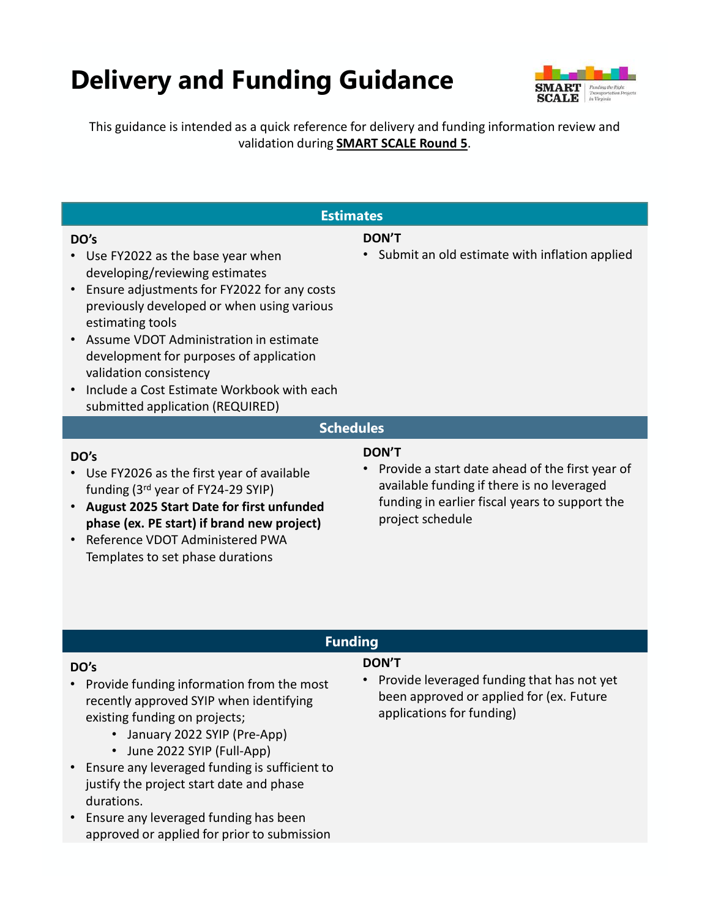# **Delivery and Funding Guidance**



This guidance is intended as a quick reference for delivery and funding information review and validation during **SMART SCALE Round 5**.

| <b>Estimates</b>                                                                                                                                                                                                                                                                                                                                                                                                           |                                                                                                                                                                                                  |
|----------------------------------------------------------------------------------------------------------------------------------------------------------------------------------------------------------------------------------------------------------------------------------------------------------------------------------------------------------------------------------------------------------------------------|--------------------------------------------------------------------------------------------------------------------------------------------------------------------------------------------------|
| DO's<br>• Use FY2022 as the base year when<br>developing/reviewing estimates<br>Ensure adjustments for FY2022 for any costs<br>$\bullet$<br>previously developed or when using various<br>estimating tools<br>• Assume VDOT Administration in estimate<br>development for purposes of application<br>validation consistency<br>Include a Cost Estimate Workbook with each<br>$\bullet$<br>submitted application (REQUIRED) | <b>DON'T</b><br>• Submit an old estimate with inflation applied                                                                                                                                  |
| <b>Schedules</b>                                                                                                                                                                                                                                                                                                                                                                                                           |                                                                                                                                                                                                  |
| DO's<br>• Use FY2026 as the first year of available<br>funding (3rd year of FY24-29 SYIP)<br>August 2025 Start Date for first unfunded<br>$\bullet$<br>phase (ex. PE start) if brand new project)<br>Reference VDOT Administered PWA<br>$\bullet$<br>Templates to set phase durations                                                                                                                                      | <b>DON'T</b><br>Provide a start date ahead of the first year of<br>$\bullet$<br>available funding if there is no leveraged<br>funding in earlier fiscal years to support the<br>project schedule |
| <b>Funding</b>                                                                                                                                                                                                                                                                                                                                                                                                             |                                                                                                                                                                                                  |
|                                                                                                                                                                                                                                                                                                                                                                                                                            |                                                                                                                                                                                                  |

#### DO's

- Provide funding information from the most recently approved SYIP when identifying existing funding on projects;
	- January 2022 SYIP (Pre-App)
	- June 2022 SYIP (Full-App)
- Ensure any leveraged funding is sufficient to justify the project start date and phase durations.
- Ensure any leveraged funding has been approved or applied for prior to submission

#### DON'T

• Provide leveraged funding that has not yet been approved or applied for (ex. Future applications for funding)